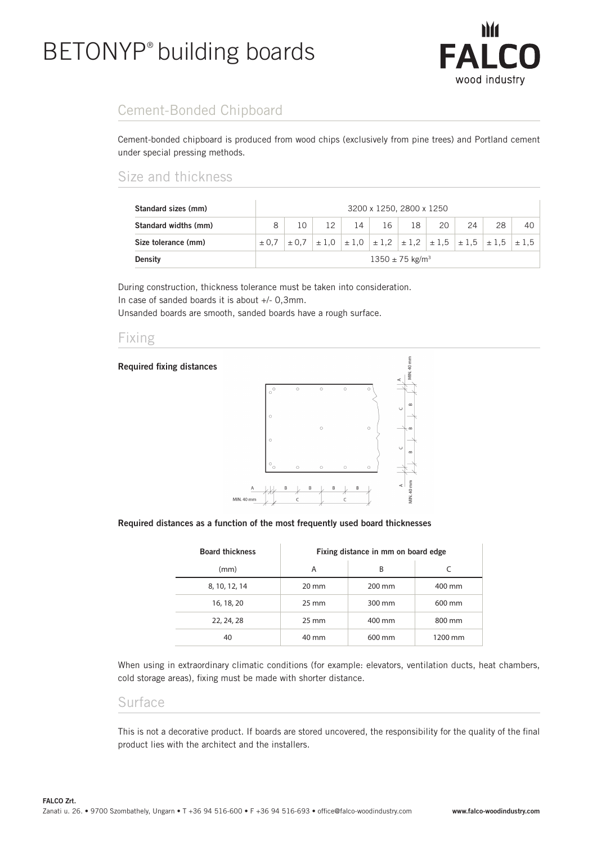# BETONYP® building boards



# Cement-Bonded Chipboard

Cement-bonded chipboard is produced from wood chips (exclusively from pine trees) and Portland cement under special pressing methods.

## Size and thickness

| Standard sizes (mm)  | 3200 x 1250, 2800 x 1250        |  |  |    |    |    |    |                                                                                           |    |    |
|----------------------|---------------------------------|--|--|----|----|----|----|-------------------------------------------------------------------------------------------|----|----|
| Standard widths (mm) | 8                               |  |  | 14 | 16 | 18 | 20 | 24                                                                                        | 28 | 40 |
| Size tolerance (mm)  | ± 0.7                           |  |  |    |    |    |    | $\pm$ 0,7 $\pm$ 1,0 $\pm$ 1,0 $\pm$ 1,2 $\pm$ 1,2 $\pm$ 1,5 $\pm$ 1,5 $\pm$ 1,5 $\pm$ 1,5 |    |    |
| <b>Density</b>       | $1350 \pm 75$ kg/m <sup>3</sup> |  |  |    |    |    |    |                                                                                           |    |    |

During construction, thickness tolerance must be taken into consideration. In case of sanded boards it is about +/- 0,3mm.

Unsanded boards are smooth, sanded boards have a rough surface.

### Fixing



#### Required distances as a function of the most frequently used board thicknesses

| <b>Board thickness</b> | Fixing distance in mm on board edge |        |         |  |  |  |  |
|------------------------|-------------------------------------|--------|---------|--|--|--|--|
| (mm)                   | A                                   | B      |         |  |  |  |  |
| 8, 10, 12, 14          | $20 \text{ mm}$                     | 200 mm | 400 mm  |  |  |  |  |
| 16, 18, 20             | $25 \text{ mm}$                     | 300 mm | 600 mm  |  |  |  |  |
| 22, 24, 28             | $25 \text{ mm}$                     | 400 mm | 800 mm  |  |  |  |  |
| 40                     | 40 mm                               | 600 mm | 1200 mm |  |  |  |  |

When using in extraordinary climatic conditions (for example: elevators, ventilation ducts, heat chambers, cold storage areas), fixing must be made with shorter distance.

#### Surface

This is not a decorative product. If boards are stored uncovered, the responsibility for the quality of the final product lies with the architect and the installers.